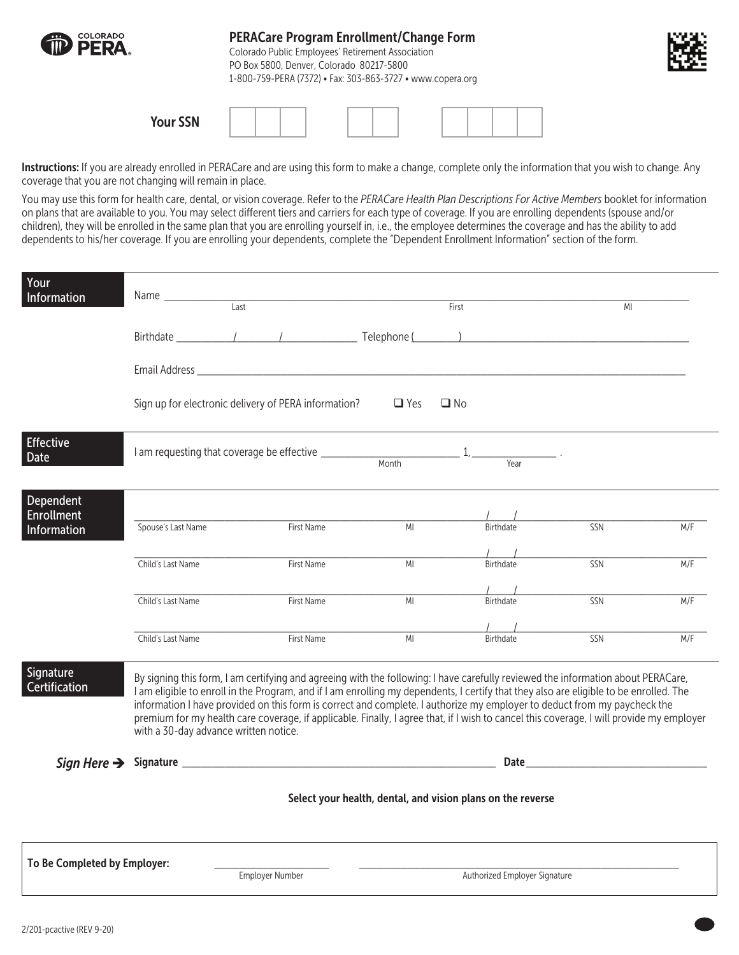

Instructions: If you are already enrolled in PERACare and are using this form to make a change, complete only the information that you wish to change. Any coverage that you are not changing will remain in place.

You may use this form for health care, dental, or vision coverage. Refer to the *PERACare Health Plan Descriptions For Active Members* booklet for information on plans that are available to you. You may select different tiers and carriers for each type of coverage. If you are enrolling dependents (spouse and/or children), they will be enrolled in the same plan that you are enrolling yourself in, i.e., the employee determines the coverage and has the ability to add dependents to his/her coverage. If you are enrolling your dependents, complete the "Dependent Enrollment Information" section of the form.

| Your<br>Information                           |                                       |                                                                                                                                                                                                                                                                                                                                                                                                                                                                                                                                                    |            | First                                                       | M <sub>l</sub>                                                                                                                                                                                                                 |     |
|-----------------------------------------------|---------------------------------------|----------------------------------------------------------------------------------------------------------------------------------------------------------------------------------------------------------------------------------------------------------------------------------------------------------------------------------------------------------------------------------------------------------------------------------------------------------------------------------------------------------------------------------------------------|------------|-------------------------------------------------------------|--------------------------------------------------------------------------------------------------------------------------------------------------------------------------------------------------------------------------------|-----|
|                                               |                                       |                                                                                                                                                                                                                                                                                                                                                                                                                                                                                                                                                    |            |                                                             |                                                                                                                                                                                                                                |     |
|                                               |                                       |                                                                                                                                                                                                                                                                                                                                                                                                                                                                                                                                                    |            |                                                             |                                                                                                                                                                                                                                |     |
|                                               |                                       | Sign up for electronic delivery of PERA information?                                                                                                                                                                                                                                                                                                                                                                                                                                                                                               | $\Box$ Yes | $\square$ No                                                |                                                                                                                                                                                                                                |     |
| <b>Effective</b><br>Date                      |                                       |                                                                                                                                                                                                                                                                                                                                                                                                                                                                                                                                                    |            |                                                             |                                                                                                                                                                                                                                |     |
| Dependent<br><b>Enrollment</b><br>Information | Spouse's Last Name                    | First Name                                                                                                                                                                                                                                                                                                                                                                                                                                                                                                                                         | MI         | Birthdate                                                   | SSN                                                                                                                                                                                                                            | M/F |
|                                               | Child's Last Name                     | First Name                                                                                                                                                                                                                                                                                                                                                                                                                                                                                                                                         | MI         | Birthdate                                                   | SSN                                                                                                                                                                                                                            | M/F |
|                                               | Child's Last Name                     | First Name                                                                                                                                                                                                                                                                                                                                                                                                                                                                                                                                         | MI         | Birthdate                                                   | SSN                                                                                                                                                                                                                            | M/F |
|                                               | Child's Last Name                     | First Name                                                                                                                                                                                                                                                                                                                                                                                                                                                                                                                                         | MI         | Birthdate                                                   | SSN                                                                                                                                                                                                                            | M/F |
| Signature<br>Certification                    | with a 30-day advance written notice. | By signing this form, I am certifying and agreeing with the following: I have carefully reviewed the information about PERACare,<br>I am eligible to enroll in the Program, and if I am enrolling my dependents, I certify that they also are eligible to be enrolled. The<br>information I have provided on this form is correct and complete. I authorize my employer to deduct from my paycheck the<br>premium for my health care coverage, if applicable. Finally, I agree that, if I wish to cancel this coverage, I will provide my employer |            |                                                             |                                                                                                                                                                                                                                |     |
|                                               |                                       |                                                                                                                                                                                                                                                                                                                                                                                                                                                                                                                                                    |            |                                                             | Date and the contract of the contract of the contract of the contract of the contract of the contract of the contract of the contract of the contract of the contract of the contract of the contract of the contract of the c |     |
|                                               |                                       |                                                                                                                                                                                                                                                                                                                                                                                                                                                                                                                                                    |            | Select your health, dental, and vision plans on the reverse |                                                                                                                                                                                                                                |     |
| To Be Completed by Employer:                  |                                       | <b>Employer Number</b>                                                                                                                                                                                                                                                                                                                                                                                                                                                                                                                             |            | Authorized Employer Signature                               |                                                                                                                                                                                                                                |     |